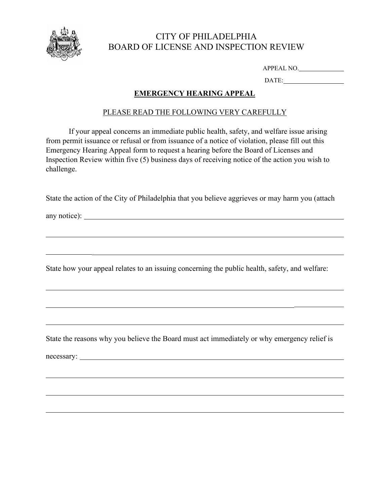

## CITY OF PHILADELPHIA BOARD OF LICENSE AND INSPECTION REVIEW

APPEAL NO.

DATE:

## **EMERGENCY HEARING APPEAL**

## PLEASE READ THE FOLLOWING VERY CAREFULLY

If your appeal concerns an immediate public health, safety, and welfare issue arising from permit issuance or refusal or from issuance of a notice of violation, please fill out this Emergency Hearing Appeal form to request a hearing before the Board of Licenses and Inspection Review within five (5) business days of receiving notice of the action you wish to challenge.

State the action of the City of Philadelphia that you believe aggrieves or may harm you (attach

any notice):

State how your appeal relates to an issuing concerning the public health, safety, and welfare:

State the reasons why you believe the Board must act immediately or why emergency relief is

necessary: